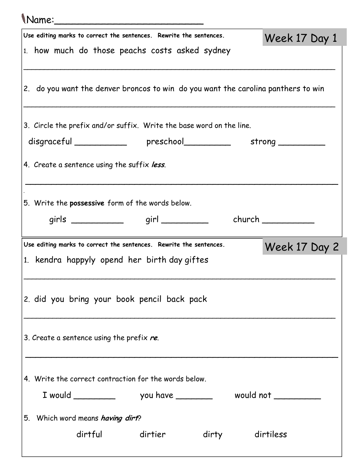## Name:\_\_\_\_\_\_\_\_\_\_\_\_\_\_\_\_\_\_\_\_\_\_\_\_\_ Use editing marks to correct the sentences. Rewrite the sentences. 1. how much do those peachs costs asked sydney \_\_\_\_\_\_\_\_\_\_\_\_\_\_\_\_\_\_\_\_\_\_\_\_\_\_\_\_\_\_\_\_\_\_\_\_\_\_\_\_\_\_\_\_\_\_\_\_\_\_\_\_\_\_\_\_\_\_\_\_\_\_\_\_\_\_\_\_\_\_\_\_\_\_\_\_ 2. do you want the denver broncos to win do you want the carolina panthers to win \_\_\_\_\_\_\_\_\_\_\_\_\_\_\_\_\_\_\_\_\_\_\_\_\_\_\_\_\_\_\_\_\_\_\_\_\_\_\_\_\_\_\_\_\_\_\_\_\_\_\_\_\_\_\_\_\_\_\_\_\_\_\_\_\_\_\_\_\_\_\_\_\_\_\_\_ 3. Circle the prefix and/or suffix. Write the base word on the line. disgraceful \_\_\_\_\_\_\_\_\_\_ preschool \_\_\_\_\_\_\_ strong \_\_\_\_\_\_\_\_ 4. Create a sentence using the suffix less. \_\_\_\_\_\_\_\_\_\_\_\_\_\_\_\_\_\_\_\_\_\_\_\_\_\_\_\_\_\_\_\_\_\_\_\_\_\_\_\_\_\_\_\_\_\_\_\_\_\_\_\_\_\_\_\_\_\_\_\_ sa 5. Write the **possessive** form of the words below. girls \_\_\_\_\_\_\_\_\_\_\_\_\_\_ girl \_\_\_\_\_\_\_\_\_\_ church \_\_\_\_\_\_\_\_\_\_ Week 17 Day 1 Use editing marks to correct the sentences. Rewrite the sentences. 1. kendra happyly opend her birth day giftes \_\_\_\_\_\_\_\_\_\_\_\_\_\_\_\_\_\_\_\_\_\_\_\_\_\_\_\_\_\_\_\_\_\_\_\_\_\_\_\_\_\_\_\_\_\_\_\_\_\_\_\_\_\_\_\_\_\_\_\_\_\_\_\_\_\_\_\_\_\_\_\_\_\_\_\_ 2. did you bring your book pencil back pack \_\_\_\_\_\_\_\_\_\_\_\_\_\_\_\_\_\_\_\_\_\_\_\_\_\_\_\_\_\_\_\_\_\_\_\_\_\_\_\_\_\_\_\_\_\_\_\_\_\_\_\_\_\_\_\_\_\_\_\_\_\_\_\_\_\_\_\_\_\_\_\_\_\_\_\_ 3. Create a sentence using the prefix  $re$ . \_\_\_\_\_\_\_\_\_\_\_\_\_\_\_\_\_\_\_\_\_\_\_\_\_\_\_\_\_\_\_\_\_\_\_\_\_\_\_\_\_\_\_\_\_\_\_\_\_\_\_\_\_\_\_\_\_\_\_\_ 4. Write the correct contraction for the words below. I would \_\_\_\_\_\_\_\_ you have \_\_\_\_\_\_\_ would not \_\_\_\_\_\_\_\_\_ 5. Which word means having dirt? dirtful dirtier dirty dirtiless Week 17 Day 2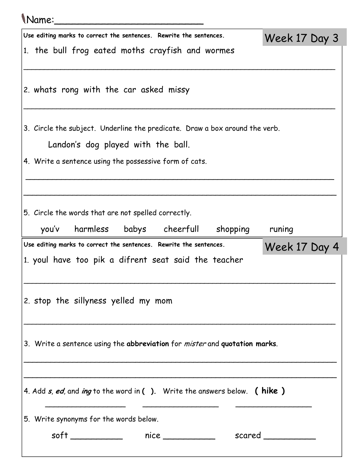## Name:\_\_\_\_\_\_\_\_\_\_\_\_\_\_\_\_\_\_\_\_\_\_\_\_\_ Use editing marks to correct the sentences. Rewrite the sentences. 1. the bull frog eated moths crayfish and wormes \_\_\_\_\_\_\_\_\_\_\_\_\_\_\_\_\_\_\_\_\_\_\_\_\_\_\_\_\_\_\_\_\_\_\_\_\_\_\_\_\_\_\_\_\_\_\_\_\_\_\_\_\_\_\_\_\_\_\_\_\_\_\_\_\_\_\_\_\_\_\_\_\_\_\_\_ 2. whats rong with the car asked missy \_\_\_\_\_\_\_\_\_\_\_\_\_\_\_\_\_\_\_\_\_\_\_\_\_\_\_\_\_\_\_\_\_\_\_\_\_\_\_\_\_\_\_\_\_\_\_\_\_\_\_\_\_\_\_\_\_\_\_\_\_\_\_\_\_\_\_\_\_\_\_\_\_\_\_\_ 3. Circle the subject. Underline the predicate. Draw a box around the verb. Landon's dog played with the ball. 4. Write a sentence using the possessive form of cats. \_\_\_\_\_\_\_\_\_\_\_\_\_\_\_\_\_\_\_\_\_\_\_\_\_\_\_\_\_\_\_\_\_\_\_\_\_\_\_\_\_\_\_\_\_\_\_\_\_\_\_\_\_\_\_\_\_\_\_\_\_\_\_\_\_\_\_\_\_ \_\_\_\_\_\_\_\_\_\_\_\_\_\_\_\_\_\_\_\_\_\_\_\_\_\_\_\_\_\_\_\_\_\_\_\_\_\_\_\_\_\_\_\_\_\_\_\_\_\_\_\_\_\_\_\_\_\_\_\_\_\_\_\_\_\_\_\_\_\_ 5. Circle the words that are not spelled correctly. you'v harmless babys cheerfull shopping runing Week 17 Day 3 Use editing marks to correct the sentences. Rewrite the sentences. 1. youl have too pik a difrent seat said the teacher \_\_\_\_\_\_\_\_\_\_\_\_\_\_\_\_\_\_\_\_\_\_\_\_\_\_\_\_\_\_\_\_\_\_\_\_\_\_\_\_\_\_\_\_\_\_\_\_\_\_\_\_\_\_\_\_\_\_\_\_\_\_\_\_\_\_\_\_\_\_\_\_\_\_\_\_ 2. stop the sillyness yelled my mom \_\_\_\_\_\_\_\_\_\_\_\_\_\_\_\_\_\_\_\_\_\_\_\_\_\_\_\_\_\_\_\_\_\_\_\_\_\_\_\_\_\_\_\_\_\_\_\_\_\_\_\_\_\_\_\_\_\_\_\_\_\_\_\_\_\_\_\_\_\_\_\_\_\_\_\_ 3. Write a sentence using the abbreviation for *mister* and quotation marks. \_\_\_\_\_\_\_\_\_\_\_\_\_\_\_\_\_\_\_\_\_\_\_\_\_\_\_\_\_\_\_\_\_\_\_\_\_\_\_\_\_\_\_\_\_\_\_\_\_\_\_\_\_\_\_\_\_\_\_\_\_\_\_\_\_\_\_\_\_\_ \_\_\_\_\_\_\_\_\_\_\_\_\_\_\_\_\_\_\_\_\_\_\_\_\_\_\_\_\_\_\_\_\_\_\_\_\_\_\_\_\_\_\_\_\_\_\_\_\_\_\_\_\_\_\_\_\_\_\_\_\_\_\_\_\_\_\_\_\_\_ 4. Add  $s$ , ed, and ing to the word in ( ). Write the answers below. (hike) \_\_\_\_\_\_\_\_\_\_\_\_\_\_\_\_\_\_ \_\_\_\_\_\_\_\_\_\_\_\_\_\_\_\_\_ \_\_\_\_\_\_\_\_\_\_\_\_\_\_\_\_\_ 5. Write synonyms for the words below. soft \_\_\_\_\_\_\_\_\_\_ nice \_\_\_\_\_\_\_\_\_\_ scared \_\_\_\_\_\_\_\_\_\_ Week 17 Day 4